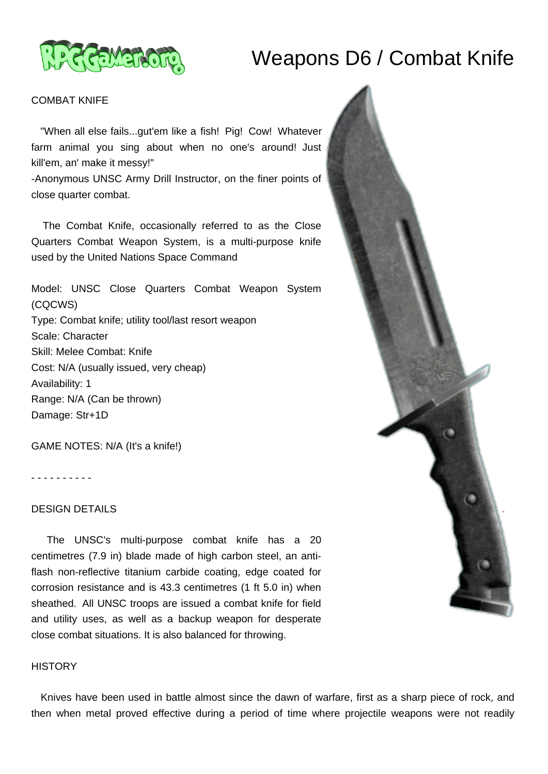# Weapons D6 / Combat Knife



#### COMBAT KNIFE

 "When all else fails...gut'em like a fish! Pig! Cow! Whatever farm animal you sing about when no one's around! Just kill'em, an' make it messy!"

-Anonymous UNSC Army Drill Instructor, on the finer points of close quarter combat.

 The Combat Knife, occasionally referred to as the Close Quarters Combat Weapon System, is a multi-purpose knife used by the United Nations Space Command

Model: UNSC Close Quarters Combat Weapon System (CQCWS) Type: Combat knife; utility tool/last resort weapon Scale: Character Skill: Melee Combat: Knife Cost: N/A (usually issued, very cheap) Availability: 1 Range: N/A (Can be thrown) Damage: Str+1D

GAME NOTES: N/A (It's a knife!)

- - - - - - - - - -

## DESIGN DETAILS

 The UNSC's multi-purpose combat knife has a 20 centimetres (7.9 in) blade made of high carbon steel, an antiflash non-reflective titanium carbide coating, edge coated for corrosion resistance and is 43.3 centimetres (1 ft 5.0 in) when sheathed. All UNSC troops are issued a combat knife for field and utility uses, as well as a backup weapon for desperate close combat situations. It is also balanced for throwing.

#### **HISTORY**

 Knives have been used in battle almost since the dawn of warfare, first as a sharp piece of rock, and then when metal proved effective during a period of time where projectile weapons were not readily